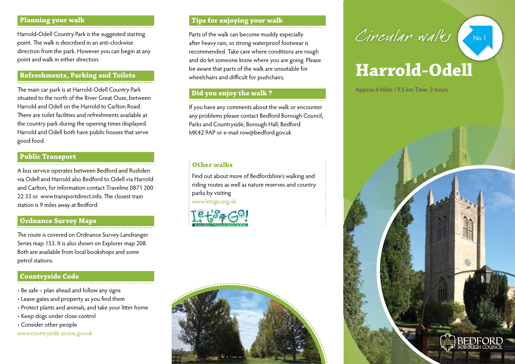#### **Planning your walk**

Harrold-Odell Country Park is the suggested starting point. The walk is described in an anti-clockwise direction from the park. However you can begin at any point and walk in either direction.

## **Refreshments, Parking and Toilets**

The main car park is at Harrold-Odell Country Park situated to the north of the River Great Ouse, between Harrold and Odell on the Harrold to Carlton Road. There are toilet facilities and refreshments available at the country park during the opening times displayed. Harrold and Odell both have public houses that serve good food.

# **Public Transport**

A bus service operates between Bedford and Rushden via Odell and Harrold also Bedford to Odell via Harrold and Carlton, for information contact Traveline 0871 200 22 33 or www.transportdirect.info. The closest train station is 9 miles away at Bedford

# **Ordnance Survey Maps**

The route is covered on Ordnance Survey Landranger Series map 153. It is also shown on Explorer map 208. Both are available from local bookshops and some petrol stations.

# **Countryside Code**

- Be safe plan ahead and follow any signs
- Leave gates and property as you find them
- Protect plants and animals, and take your litter home
- Keep dogs under close control
- Consider other people

www.countryside access.gov.uk

# **Tips for enjoying your walk**

Parts of the walk can become muddy especially after heavy rain, so strong waterproof footwear is recommended. Take care where conditions are rough and do let someone know where you are going. Please be aware that parts of the walk are unsuitable for wheelchairs and difficult for pushchairs.

# **Did you enjoy the walk ?**

If you have any comments about the walk or encounter any problems please contact Bedford Borough Council, Parks and Countryside, Borough Hall, Bedford MK42 9AP or e-mail row@bedford.gov.uk

# **Other walks**

Find out about more of Bedfordshire's walking and riding routes as well as nature reserves and country parks by visiting www.letsgo.org.uk







# **Harrold-Odell**

Approx 6 Miles / 9.5 km Time: 3 hours

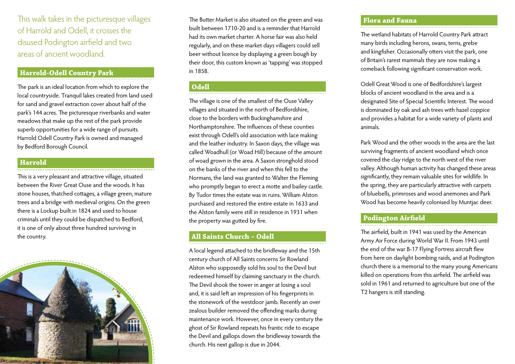This walk takes in the picturesque villages of Harrold and Odell, it crosses the disused Podington airfield and two areas of ancient woodland.

#### **Harrold-Odell Country Park**

The park is an ideal location from which to explore the local countryside. Tranquil lakes created from land used for sand and gravel extraction cover about half of the park's 144 acres. The picturesque riverbanks and water meadows that make up the rest of the park provide superb opportunities for a wide range of pursuits. Harrold Odell Country Park is owned and managed by Bedford Borough Council.

#### **Harrold**

This is a very pleasant and attractive village, situated between the River Great Ouse and the woods. It has stone houses, thatched cottages, a village green, mature trees and a bridge with medieval origins. On the green there is a Lockup built in 1824 and used to house criminals until they could be dispatched to Bedford, it is one of only about three hundred surviving in the country.



The Butter Market is also situated on the green and was built between 1710-20 and is a reminder that Harrold had its own market charter. A horse fair was also held regularly, and on these market days villagers could sell beer without licence by displaying a green bough by their door, this custom known as 'tapping' was stopped in 1858.

## **Odell**

The village is one of the smallest of the Ouse Valley villages and situated in the north of Bedfordshire, close to the borders with Buckinghamshire and Northamptonshire. The influences of these counties exist through Odell's old association with lace making and the leather industry. In Saxon days, the village was called Woadhull (or Woad Hill) because of the amount of woad grown in the area. A Saxon stronghold stood on the banks of the river and when this fell to the Normans, the land was granted to Walter the Fleming who promptly began to erect a motte and bailey castle. By Tudor times the estate was in ruins. William Alston purchased and restored the entire estate in 1633 and the Alston family were still in residence in 1931 when the property was gutted by fire.

# **All Saints Church – Odell**

A local legend attached to the bridleway and the 15th century church of All Saints concerns Sir Rowland Alston who supposedly sold his soul to the Devil but redeemed himself by claiming sanctuary in the church. The Devil shook the tower in anger at losing a soul and, it is said left an impression of his fingerprints in the stonework of the westdoor jamb. Recently an over zealous builder removed the offending marks during maintenance work. However, once in every century the ghost of Sir Rowland repeats his frantic ride to escape the Devil and gallops down the bridleway towards the church. His next gallop is due in 2044.

### **Flora and Fauna**

The wetland habitats of Harrold Country Park attract many birds including herons, swans, terns, grebe and kingfisher. Occasionally otters visit the park, one of Britain's rarest mammals they are now making a comeback following significant conservation work.

Odell Great Wood is one of Bedfordshire's largest blocks of ancient woodland in the area and is a designated Site of Special Scientific Interest. The wood is dominated by oak and ash trees with hazel coppice and provides a habitat for a wide variety of plants and animals.

Park Wood and the other woods in the area are the last surviving fragments of ancient woodland which once covered the clay ridge to the north west of the river valley. Although human activity has changed these areas significantly, they remain valuable sites for wildlife. In the spring, they are particularly attractive with carpets of bluebells, primroses and wood anemones and Park Wood has become heavily colonised by Muntjac deer.

#### **Podington Airfield**

The airfield, built in 1941 was used by the American Army Air Force during World War II. From 1943 until the end of the war B-17 Flying Fortress aircraft flew from here on daylight bombing raids, and at Podington church there is a memorial to the many young Americans killed on operations from this airfield. The airfield was sold in 1961 and returned to agriculture but one of the T2 hangers is still standing.